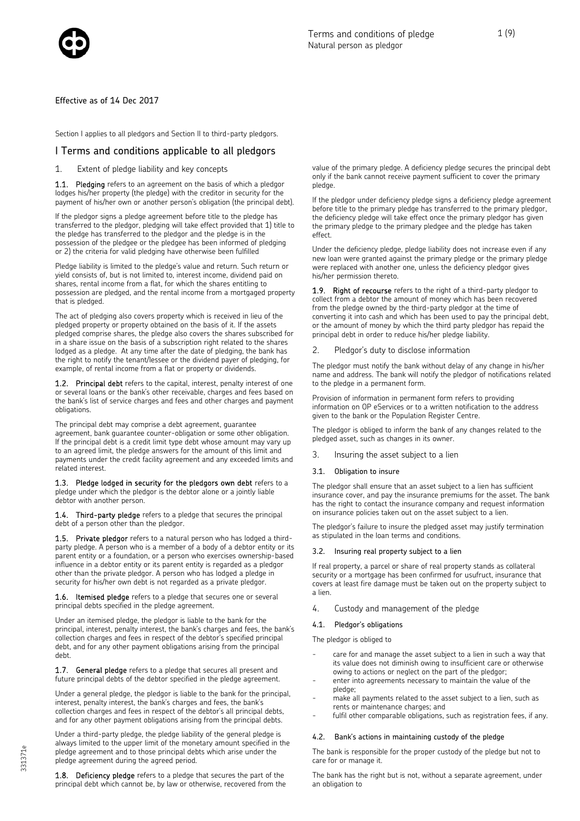

Effective as of 14 Dec 2017

Section I applies to all pledgors and Section II to third-party pledgors.

### I Terms and conditions applicable to all pledgors

1. Extent of pledge liability and key concepts

1.1. Pledging refers to an agreement on the basis of which a pledgor lodges his/her property (the pledge) with the creditor in security for the payment of his/her own or another person's obligation (the principal debt).

If the pledgor signs a pledge agreement before title to the pledge has transferred to the pledgor, pledging will take effect provided that 1) title to the pledge has transferred to the pledgor and the pledge is in the possession of the pledgee or the pledgee has been informed of pledging or 2) the criteria for valid pledging have otherwise been fulfilled

Pledge liability is limited to the pledge's value and return. Such return or yield consists of, but is not limited to, interest income, dividend paid on shares, rental income from a flat, for which the shares entitling to possession are pledged, and the rental income from a mortgaged property that is pledged.

The act of pledging also covers property which is received in lieu of the pledged property or property obtained on the basis of it. If the assets pledged comprise shares, the pledge also covers the shares subscribed for in a share issue on the basis of a subscription right related to the shares lodged as a pledge. At any time after the date of pledging, the bank has the right to notify the tenant/lessee or the dividend payer of pledging, for example, of rental income from a flat or property or dividends.

1.2. Principal debt refers to the capital, interest, penalty interest of one or several loans or the bank's other receivable, charges and fees based on the bank's list of service charges and fees and other charges and payment obligations.

The principal debt may comprise a debt agreement, guarantee agreement, bank guarantee counter-obligation or some other obligation. If the principal debt is a credit limit type debt whose amount may vary up to an agreed limit, the pledge answers for the amount of this limit and payments under the credit facility agreement and any exceeded limits and related interest.

1.3. Pledge lodged in security for the pledgors own debt refers to a pledge under which the pledgor is the debtor alone or a jointly liable debtor with another person.

1.4. Third-party pledge refers to a pledge that secures the principal debt of a person other than the pledgor.

1.5. Private pledgor refers to a natural person who has lodged a thirdparty pledge. A person who is a member of a body of a debtor entity or its parent entity or a foundation, or a person who exercises ownership-based influence in a debtor entity or its parent entity is regarded as a pledgor other than the private pledgor. A person who has lodged a pledge in security for his/her own debt is not regarded as a private pledgor.

1.6. Itemised pledge refers to a pledge that secures one or several principal debts specified in the pledge agreement.

Under an itemised pledge, the pledgor is liable to the bank for the principal, interest, penalty interest, the bank's charges and fees, the bank's collection charges and fees in respect of the debtor's specified principal debt, and for any other payment obligations arising from the principal debt.

1.7. General pledge refers to a pledge that secures all present and future principal debts of the debtor specified in the pledge agreement.

Under a general pledge, the pledgor is liable to the bank for the principal, interest, penalty interest, the bank's charges and fees, the bank's collection charges and fees in respect of the debtor's all principal debts, and for any other payment obligations arising from the principal debts.

Under a third-party pledge, the pledge liability of the general pledge is always limited to the upper limit of the monetary amount specified in the pledge agreement and to those principal debts which arise under the pledge agreement during the agreed period.

1.8. Deficiency pledge refers to a pledge that secures the part of the principal debt which cannot be, by law or otherwise, recovered from the value of the primary pledge. A deficiency pledge secures the principal debt only if the bank cannot receive payment sufficient to cover the primary pledge.

If the pledgor under deficiency pledge signs a deficiency pledge agreement before title to the primary pledge has transferred to the primary pledgor, the deficiency pledge will take effect once the primary pledgor has given the primary pledge to the primary pledgee and the pledge has taken effect.

Under the deficiency pledge, pledge liability does not increase even if any new loan were granted against the primary pledge or the primary pledge were replaced with another one, unless the deficiency pledgor gives his/her permission thereto.

1.9. Right of recourse refers to the right of a third-party pledgor to collect from a debtor the amount of money which has been recovered from the pledge owned by the third-party pledgor at the time of converting it into cash and which has been used to pay the principal debt, or the amount of money by which the third party pledgor has repaid the principal debt in order to reduce his/her pledge liability.

#### 2. Pledgor's duty to disclose information

The pledgor must notify the bank without delay of any change in his/her name and address. The bank will notify the pledgor of notifications related to the pledge in a permanent form.

Provision of information in permanent form refers to providing information on OP eServices or to a written notification to the address given to the bank or the Population Register Centre.

The pledgor is obliged to inform the bank of any changes related to the pledged asset, such as changes in its owner.

3. Insuring the asset subject to a lien

### 3.1. Obligation to insure

The pledgor shall ensure that an asset subject to a lien has sufficient insurance cover, and pay the insurance premiums for the asset. The bank has the right to contact the insurance company and request information on insurance policies taken out on the asset subject to a lien.

The pledgor's failure to insure the pledged asset may justify termination as stipulated in the loan terms and conditions.

#### 3.2. Insuring real property subject to a lien

If real property, a parcel or share of real property stands as collateral security or a mortgage has been confirmed for usufruct, insurance that covers at least fire damage must be taken out on the property subject to a lien.

4. Custody and management of the pledge

### 4.1. Pledgor's obligations

The pledgor is obliged to

- care for and manage the asset subject to a lien in such a way that its value does not diminish owing to insufficient care or otherwise owing to actions or neglect on the part of the pledgor;
- enter into agreements necessary to maintain the value of the pledge;
- make all payments related to the asset subject to a lien, such as rents or maintenance charges; and
- fulfil other comparable obligations, such as registration fees, if any.

### 4.2. Bank's actions in maintaining custody of the pledge

The bank is responsible for the proper custody of the pledge but not to care for or manage it.

The bank has the right but is not, without a separate agreement, under an obligation to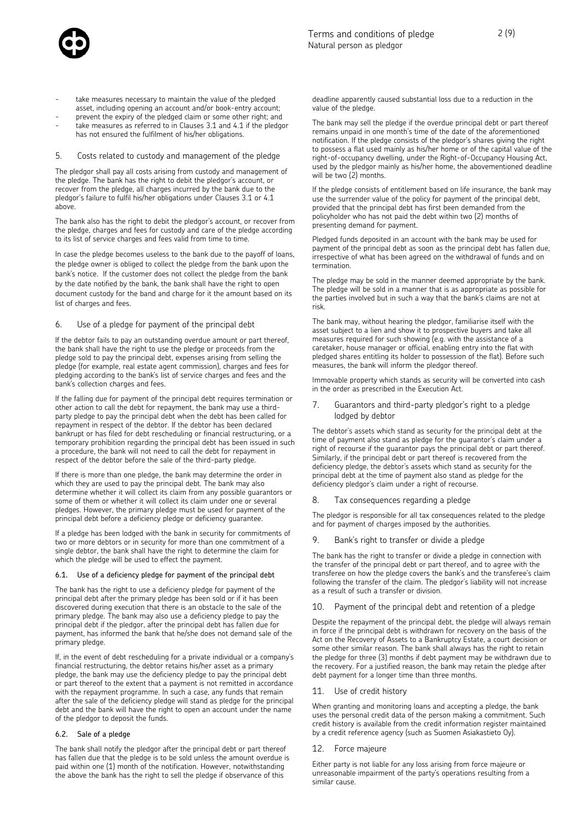

- take measures necessary to maintain the value of the pledged asset, including opening an account and/or book-entry account;
- prevent the expiry of the pledged claim or some other right; and take measures as referred to in Clauses 3.1 and 4.1 if the pledgor has not ensured the fulfilment of his/her obligations.

### 5. Costs related to custody and management of the pledge

The pledgor shall pay all costs arising from custody and management of the pledge. The bank has the right to debit the pledgor's account, or recover from the pledge, all charges incurred by the bank due to the pledgor's failure to fulfil his/her obligations under Clauses 3.1 or 4.1 above.

The bank also has the right to debit the pledgor's account, or recover from the pledge, charges and fees for custody and care of the pledge according to its list of service charges and fees valid from time to time.

In case the pledge becomes useless to the bank due to the payoff of loans, the pledge owner is obliged to collect the pledge from the bank upon the bank's notice. If the customer does not collect the pledge from the bank by the date notified by the bank, the bank shall have the right to open document custody for the band and charge for it the amount based on its list of charges and fees.

#### 6. Use of a pledge for payment of the principal debt

If the debtor fails to pay an outstanding overdue amount or part thereof, the bank shall have the right to use the pledge or proceeds from the pledge sold to pay the principal debt, expenses arising from selling the pledge (for example, real estate agent commission), charges and fees for pledging according to the bank's list of service charges and fees and the bank's collection charges and fees.

If the falling due for payment of the principal debt requires termination or other action to call the debt for repayment, the bank may use a thirdparty pledge to pay the principal debt when the debt has been called for repayment in respect of the debtor. If the debtor has been declared bankrupt or has filed for debt rescheduling or financial restructuring, or a temporary prohibition regarding the principal debt has been issued in such a procedure, the bank will not need to call the debt for repayment in respect of the debtor before the sale of the third-party pledge.

If there is more than one pledge, the bank may determine the order in which they are used to pay the principal debt. The bank may also determine whether it will collect its claim from any possible guarantors or some of them or whether it will collect its claim under one or several pledges. However, the primary pledge must be used for payment of the principal debt before a deficiency pledge or deficiency guarantee.

If a pledge has been lodged with the bank in security for commitments of two or more debtors or in security for more than one commitment of a single debtor, the bank shall have the right to determine the claim for which the pledge will be used to effect the payment.

#### 6.1. Use of a deficiency pledge for payment of the principal debt

The bank has the right to use a deficiency pledge for payment of the principal debt after the primary pledge has been sold or if it has been discovered during execution that there is an obstacle to the sale of the primary pledge. The bank may also use a deficiency pledge to pay the principal debt if the pledgor, after the principal debt has fallen due for payment, has informed the bank that he/she does not demand sale of the primary pledge.

If, in the event of debt rescheduling for a private individual or a company's financial restructuring, the debtor retains his/her asset as a primary pledge, the bank may use the deficiency pledge to pay the principal debt or part thereof to the extent that a payment is not remitted in accordance with the repayment programme. In such a case, any funds that remain after the sale of the deficiency pledge will stand as pledge for the principal debt and the bank will have the right to open an account under the name of the pledgor to deposit the funds.

#### 6.2. Sale of a pledge

The bank shall notify the pledgor after the principal debt or part thereof has fallen due that the pledge is to be sold unless the amount overdue is paid within one (1) month of the notification. However, notwithstanding the above the bank has the right to sell the pledge if observance of this

deadline apparently caused substantial loss due to a reduction in the value of the pledge.

The bank may sell the pledge if the overdue principal debt or part thereof remains unpaid in one month's time of the date of the aforementioned notification. If the pledge consists of the pledgor's shares giving the right to possess a flat used mainly as his/her home or of the capital value of the right-of-occupancy dwelling, under the Right-of-Occupancy Housing Act, used by the pledgor mainly as his/her home, the abovementioned deadline will be two (2) months.

If the pledge consists of entitlement based on life insurance, the bank may use the surrender value of the policy for payment of the principal debt, provided that the principal debt has first been demanded from the policyholder who has not paid the debt within two (2) months of presenting demand for payment.

Pledged funds deposited in an account with the bank may be used for payment of the principal debt as soon as the principal debt has fallen due, irrespective of what has been agreed on the withdrawal of funds and on termination.

The pledge may be sold in the manner deemed appropriate by the bank. The pledge will be sold in a manner that is as appropriate as possible for the parties involved but in such a way that the bank's claims are not at risk.

The bank may, without hearing the pledgor, familiarise itself with the asset subject to a lien and show it to prospective buyers and take all measures required for such showing (e.g. with the assistance of a caretaker, house manager or official, enabling entry into the flat with pledged shares entitling its holder to possession of the flat). Before such measures, the bank will inform the pledgor thereof.

Immovable property which stands as security will be converted into cash in the order as prescribed in the Execution Act.

7. Guarantors and third-party pledgor's right to a pledge lodged by debtor

The debtor's assets which stand as security for the principal debt at the time of payment also stand as pledge for the guarantor's claim under a right of recourse if the guarantor pays the principal debt or part thereof. Similarly, if the principal debt or part thereof is recovered from the deficiency pledge, the debtor's assets which stand as security for the principal debt at the time of payment also stand as pledge for the deficiency pledgor's claim under a right of recourse.

#### 8. Tax consequences regarding a pledge

The pledgor is responsible for all tax consequences related to the pledge and for payment of charges imposed by the authorities.

Bank's right to transfer or divide a pledge

The bank has the right to transfer or divide a pledge in connection with the transfer of the principal debt or part thereof, and to agree with the transferee on how the pledge covers the bank's and the transferee's claim following the transfer of the claim. The pledgor's liability will not increase as a result of such a transfer or division.

10. Payment of the principal debt and retention of a pledge

Despite the repayment of the principal debt, the pledge will always remain in force if the principal debt is withdrawn for recovery on the basis of the Act on the Recovery of Assets to a Bankruptcy Estate, a court decision or some other similar reason. The bank shall always has the right to retain the pledge for three (3) months if debt payment may be withdrawn due to the recovery. For a justified reason, the bank may retain the pledge after debt payment for a longer time than three months.

#### 11. Use of credit history

When granting and monitoring loans and accepting a pledge, the bank uses the personal credit data of the person making a commitment. Such credit history is available from the credit information register maintained by a credit reference agency (such as Suomen Asiakastieto Oy).

#### 12. Force majeure

Either party is not liable for any loss arising from force majeure or unreasonable impairment of the party's operations resulting from a similar cause.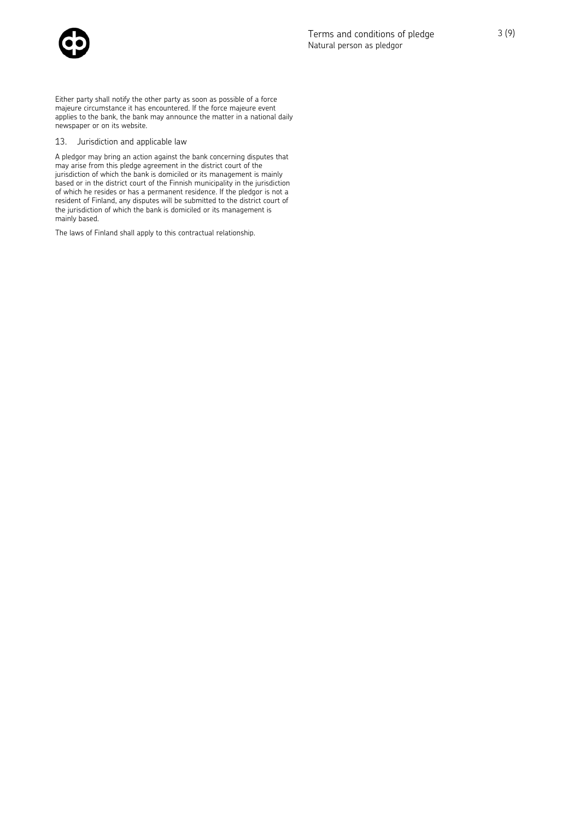

Either party shall notify the other party as soon as possible of a force majeure circumstance it has encountered. If the force majeure event applies to the bank, the bank may announce the matter in a national daily newspaper or on its website.

### 13. Jurisdiction and applicable law

A pledgor may bring an action against the bank concerning disputes that may arise from this pledge agreement in the district court of the jurisdiction of which the bank is domiciled or its management is mainly based or in the district court of the Finnish municipality in the jurisdiction of which he resides or has a permanent residence. If the pledgor is not a resident of Finland, any disputes will be submitted to the district court of the jurisdiction of which the bank is domiciled or its management is mainly based.

The laws of Finland shall apply to this contractual relationship.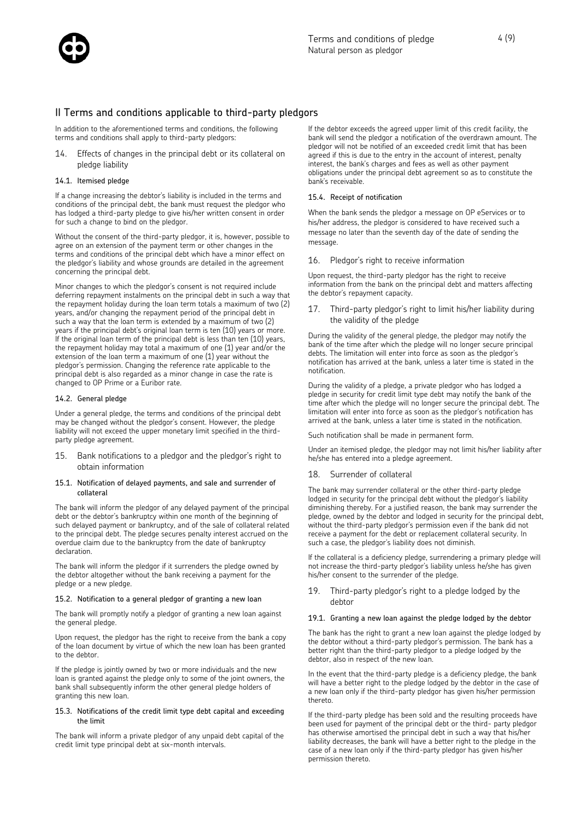

## II Terms and conditions applicable to third-party pledgors

In addition to the aforementioned terms and conditions, the following terms and conditions shall apply to third-party pledgors:

14. Effects of changes in the principal debt or its collateral on pledge liability

#### 14.1. Itemised pledge

If a change increasing the debtor's liability is included in the terms and conditions of the principal debt, the bank must request the pledgor who has lodged a third-party pledge to give his/her written consent in order for such a change to bind on the pledgor.

Without the consent of the third-party pledgor, it is, however, possible to agree on an extension of the payment term or other changes in the terms and conditions of the principal debt which have a minor effect on the pledgor's liability and whose grounds are detailed in the agreement concerning the principal debt.

Minor changes to which the pledgor's consent is not required include deferring repayment instalments on the principal debt in such a way that the repayment holiday during the loan term totals a maximum of two (2) years, and/or changing the repayment period of the principal debt in such a way that the loan term is extended by a maximum of two (2) years if the principal debt's original loan term is ten (10) years or more. If the original loan term of the principal debt is less than ten (10) years, the repayment holiday may total a maximum of one (1) year and/or the extension of the loan term a maximum of one (1) year without the pledgor's permission. Changing the reference rate applicable to the principal debt is also regarded as a minor change in case the rate is changed to OP Prime or a Euribor rate.

#### 14.2. General pledge

Under a general pledge, the terms and conditions of the principal debt may be changed without the pledgor's consent. However, the pledge liability will not exceed the upper monetary limit specified in the thirdparty pledge agreement.

15. Bank notifications to a pledgor and the pledgor's right to obtain information

#### 15.1. Notification of delayed payments, and sale and surrender of collateral

The bank will inform the pledgor of any delayed payment of the principal debt or the debtor's bankruptcy within one month of the beginning of such delayed payment or bankruptcy, and of the sale of collateral related to the principal debt. The pledge secures penalty interest accrued on the overdue claim due to the bankruptcy from the date of bankruptcy declaration.

The bank will inform the pledgor if it surrenders the pledge owned by the debtor altogether without the bank receiving a payment for the pledge or a new pledge.

#### 15.2. Notification to a general pledgor of granting a new loan

The bank will promptly notify a pledgor of granting a new loan against the general pledge.

Upon request, the pledgor has the right to receive from the bank a copy of the loan document by virtue of which the new loan has been granted to the debtor.

If the pledge is jointly owned by two or more individuals and the new loan is granted against the pledge only to some of the joint owners, the bank shall subsequently inform the other general pledge holders of granting this new loan.

#### 15.3. Notifications of the credit limit type debt capital and exceeding the limit

The bank will inform a private pledgor of any unpaid debt capital of the credit limit type principal debt at six-month intervals.

If the debtor exceeds the agreed upper limit of this credit facility, the bank will send the pledgor a notification of the overdrawn amount. The pledgor will not be notified of an exceeded credit limit that has been agreed if this is due to the entry in the account of interest, penalty interest, the bank's charges and fees as well as other payment obligations under the principal debt agreement so as to constitute the bank's receivable.

#### 15.4. Receipt of notification

When the bank sends the pledgor a message on OP eServices or to his/her address, the pledgor is considered to have received such a message no later than the seventh day of the date of sending the message.

#### 16. Pledgor's right to receive information

Upon request, the third-party pledgor has the right to receive information from the bank on the principal debt and matters affecting the debtor's repayment capacity.

17. Third-party pledgor's right to limit his/her liability during the validity of the pledge

During the validity of the general pledge, the pledgor may notify the bank of the time after which the pledge will no longer secure principal debts. The limitation will enter into force as soon as the pledgor's notification has arrived at the bank, unless a later time is stated in the notification.

During the validity of a pledge, a private pledgor who has lodged a pledge in security for credit limit type debt may notify the bank of the time after which the pledge will no longer secure the principal debt. The limitation will enter into force as soon as the pledgor's notification has arrived at the bank, unless a later time is stated in the notification.

Such notification shall be made in permanent form.

Under an itemised pledge, the pledgor may not limit his/her liability after he/she has entered into a pledge agreement.

18. Surrender of collateral

The bank may surrender collateral or the other third-party pledge lodged in security for the principal debt without the pledgor's liability diminishing thereby. For a justified reason, the bank may surrender the pledge, owned by the debtor and lodged in security for the principal debt, without the third-party pledgor's permission even if the bank did not receive a payment for the debt or replacement collateral security. In such a case, the pledgor's liability does not diminish.

If the collateral is a deficiency pledge, surrendering a primary pledge will not increase the third-party pledgor's liability unless he/she has given his/her consent to the surrender of the pledge.

### 19. Third-party pledgor's right to a pledge lodged by the debtor

#### 19.1. Granting a new loan against the pledge lodged by the debtor

The bank has the right to grant a new loan against the pledge lodged by the debtor without a third-party pledgor's permission. The bank has a better right than the third-party pledgor to a pledge lodged by the debtor, also in respect of the new loan.

In the event that the third-party pledge is a deficiency pledge, the bank will have a better right to the pledge lodged by the debtor in the case of a new loan only if the third-party pledgor has given his/her permission thereto.

If the third-party pledge has been sold and the resulting proceeds have been used for payment of the principal debt or the third- party pledgor has otherwise amortised the principal debt in such a way that his/her liability decreases, the bank will have a better right to the pledge in the case of a new loan only if the third-party pledgor has given his/her permission thereto.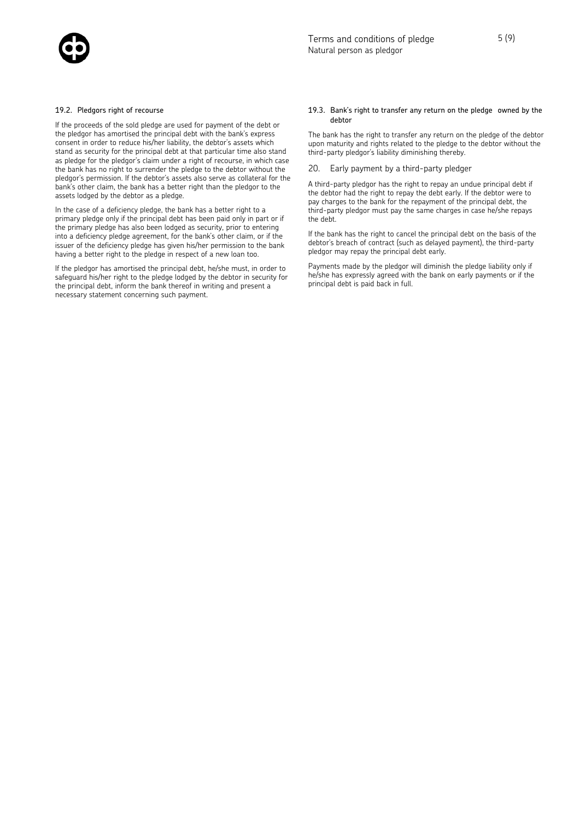

### 19.2. Pledgors right of recourse

If the proceeds of the sold pledge are used for payment of the debt or the pledgor has amortised the principal debt with the bank's express consent in order to reduce his/her liability, the debtor's assets which stand as security for the principal debt at that particular time also stand as pledge for the pledgor's claim under a right of recourse, in which case the bank has no right to surrender the pledge to the debtor without the pledgor's permission. If the debtor's assets also serve as collateral for the bank's other claim, the bank has a better right than the pledgor to the assets lodged by the debtor as a pledge.

In the case of a deficiency pledge, the bank has a better right to a primary pledge only if the principal debt has been paid only in part or if the primary pledge has also been lodged as security, prior to entering into a deficiency pledge agreement, for the bank's other claim, or if the issuer of the deficiency pledge has given his/her permission to the bank having a better right to the pledge in respect of a new loan too.

If the pledgor has amortised the principal debt, he/she must, in order to safeguard his/her right to the pledge lodged by the debtor in security for the principal debt, inform the bank thereof in writing and present a necessary statement concerning such payment.

#### 19.3. Bank's right to transfer any return on the pledge owned by the debtor

The bank has the right to transfer any return on the pledge of the debtor upon maturity and rights related to the pledge to the debtor without the third-party pledgor's liability diminishing thereby.

20. Early payment by a third-party pledger

A third-party pledgor has the right to repay an undue principal debt if the debtor had the right to repay the debt early. If the debtor were to pay charges to the bank for the repayment of the principal debt, the third-party pledgor must pay the same charges in case he/she repays the debt.

If the bank has the right to cancel the principal debt on the basis of the debtor's breach of contract (such as delayed payment), the third-party pledgor may repay the principal debt early.

Payments made by the pledgor will diminish the pledge liability only if he/she has expressly agreed with the bank on early payments or if the principal debt is paid back in full.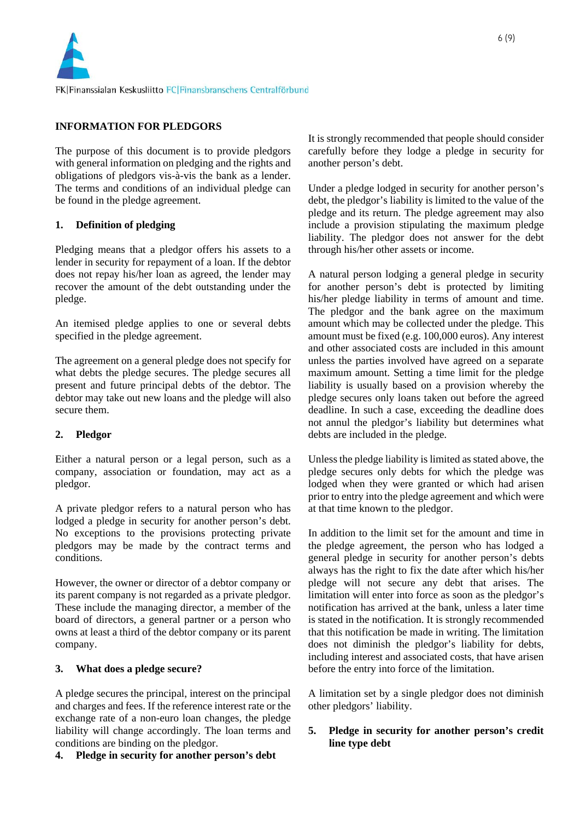

# **INFORMATION FOR PLEDGORS**

The purpose of this document is to provide pledgors with general information on pledging and the rights and obligations of pledgors vis-à-vis the bank as a lender. The terms and conditions of an individual pledge can be found in the pledge agreement.

# **1. Definition of pledging**

Pledging means that a pledgor offers his assets to a lender in security for repayment of a loan. If the debtor does not repay his/her loan as agreed, the lender may recover the amount of the debt outstanding under the pledge.

An itemised pledge applies to one or several debts specified in the pledge agreement.

The agreement on a general pledge does not specify for what debts the pledge secures. The pledge secures all present and future principal debts of the debtor. The debtor may take out new loans and the pledge will also secure them.

# **2. Pledgor**

Either a natural person or a legal person, such as a company, association or foundation, may act as a pledgor.

A private pledgor refers to a natural person who has lodged a pledge in security for another person's debt. No exceptions to the provisions protecting private pledgors may be made by the contract terms and conditions.

However, the owner or director of a debtor company or its parent company is not regarded as a private pledgor. These include the managing director, a member of the board of directors, a general partner or a person who owns at least a third of the debtor company or its parent company.

# **3. What does a pledge secure?**

A pledge secures the principal, interest on the principal and charges and fees. If the reference interest rate or the exchange rate of a non-euro loan changes, the pledge liability will change accordingly. The loan terms and conditions are binding on the pledgor.

**4. Pledge in security for another person's debt** 

It is strongly recommended that people should consider carefully before they lodge a pledge in security for another person's debt.

Under a pledge lodged in security for another person's debt, the pledgor's liability is limited to the value of the pledge and its return. The pledge agreement may also include a provision stipulating the maximum pledge liability. The pledgor does not answer for the debt through his/her other assets or income.

A natural person lodging a general pledge in security for another person's debt is protected by limiting his/her pledge liability in terms of amount and time. The pledgor and the bank agree on the maximum amount which may be collected under the pledge. This amount must be fixed (e.g. 100,000 euros). Any interest and other associated costs are included in this amount unless the parties involved have agreed on a separate maximum amount. Setting a time limit for the pledge liability is usually based on a provision whereby the pledge secures only loans taken out before the agreed deadline. In such a case, exceeding the deadline does not annul the pledgor's liability but determines what debts are included in the pledge.

Unless the pledge liability is limited as stated above, the pledge secures only debts for which the pledge was lodged when they were granted or which had arisen prior to entry into the pledge agreement and which were at that time known to the pledgor.

In addition to the limit set for the amount and time in the pledge agreement, the person who has lodged a general pledge in security for another person's debts always has the right to fix the date after which his/her pledge will not secure any debt that arises. The limitation will enter into force as soon as the pledgor's notification has arrived at the bank, unless a later time is stated in the notification. It is strongly recommended that this notification be made in writing. The limitation does not diminish the pledgor's liability for debts, including interest and associated costs, that have arisen before the entry into force of the limitation.

A limitation set by a single pledgor does not diminish other pledgors' liability.

# **5. Pledge in security for another person's credit line type debt**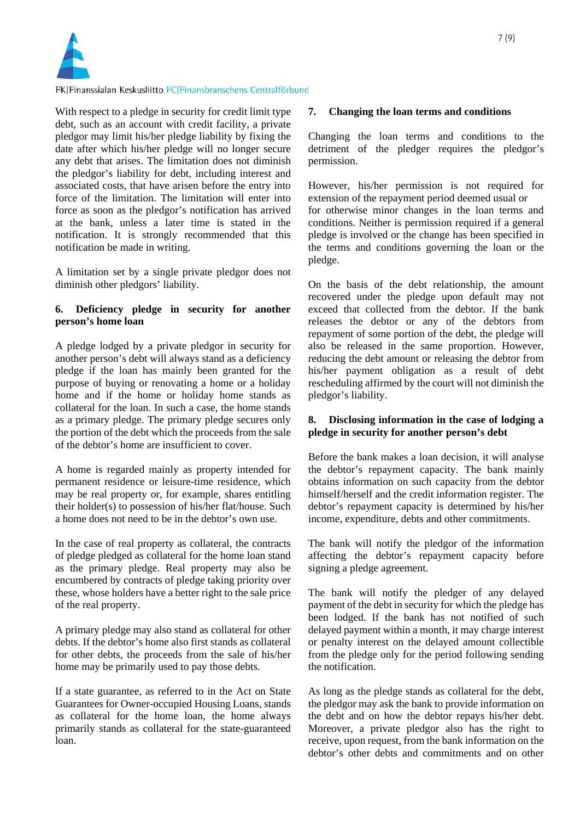

## FK|Finanssialan Keskusliitto FC|Finansbranschens Centralförbund

With respect to a pledge in security for credit limit type debt, such as an account with credit facility, a private pledgor may limit his/her pledge liability by fixing the date after which his/her pledge will no longer secure any debt that arises. The limitation does not diminish the pledgor's liability for debt, including interest and associated costs, that have arisen before the entry into force of the limitation. The limitation will enter into force as soon as the pledgor's notification has arrived at the bank, unless a later time is stated in the notification. It is strongly recommended that this notification be made in writing.

A limitation set by a single private pledgor does not diminish other pledgors' liability.

## **6. Deficiency pledge in security for another person's home loan**

A pledge lodged by a private pledgor in security for another person's debt will always stand as a deficiency pledge if the loan has mainly been granted for the purpose of buying or renovating a home or a holiday home and if the home or holiday home stands as collateral for the loan. In such a case, the home stands as a primary pledge. The primary pledge secures only the portion of the debt which the proceeds from the sale of the debtor's home are insufficient to cover.

A home is regarded mainly as property intended for permanent residence or leisure-time residence, which may be real property or, for example, shares entitling their holder(s) to possession of his/her flat/house. Such a home does not need to be in the debtor's own use.

In the case of real property as collateral, the contracts of pledge pledged as collateral for the home loan stand as the primary pledge. Real property may also be encumbered by contracts of pledge taking priority over these, whose holders have a better right to the sale price of the real property.

A primary pledge may also stand as collateral for other debts. If the debtor's home also first stands as collateral for other debts, the proceeds from the sale of his/her home may be primarily used to pay those debts.

If a state guarantee, as referred to in the Act on State Guarantees for Owner-occupied Housing Loans, stands as collateral for the home loan, the home always primarily stands as collateral for the state-guaranteed loan.

### **7. Changing the loan terms and conditions**

Changing the loan terms and conditions to the detriment of the pledger requires the pledgor's permission.

However, his/her permission is not required for extension of the repayment period deemed usual or for otherwise minor changes in the loan terms and conditions. Neither is permission required if a general pledge is involved or the change has been specified in the terms and conditions governing the loan or the pledge.

On the basis of the debt relationship, the amount recovered under the pledge upon default may not exceed that collected from the debtor. If the bank releases the debtor or any of the debtors from repayment of some portion of the debt, the pledge will also be released in the same proportion. However, reducing the debt amount or releasing the debtor from his/her payment obligation as a result of debt rescheduling affirmed by the court will not diminish the pledgor's liability.

# **8. Disclosing information in the case of lodging a pledge in security for another person's debt**

Before the bank makes a loan decision, it will analyse the debtor's repayment capacity. The bank mainly obtains information on such capacity from the debtor himself/herself and the credit information register. The debtor's repayment capacity is determined by his/her income, expenditure, debts and other commitments.

The bank will notify the pledgor of the information affecting the debtor's repayment capacity before signing a pledge agreement.

The bank will notify the pledger of any delayed payment of the debt in security for which the pledge has been lodged. If the bank has not notified of such delayed payment within a month, it may charge interest or penalty interest on the delayed amount collectible from the pledge only for the period following sending the notification.

As long as the pledge stands as collateral for the debt, the pledgor may ask the bank to provide information on the debt and on how the debtor repays his/her debt. Moreover, a private pledgor also has the right to receive, upon request, from the bank information on the debtor's other debts and commitments and on other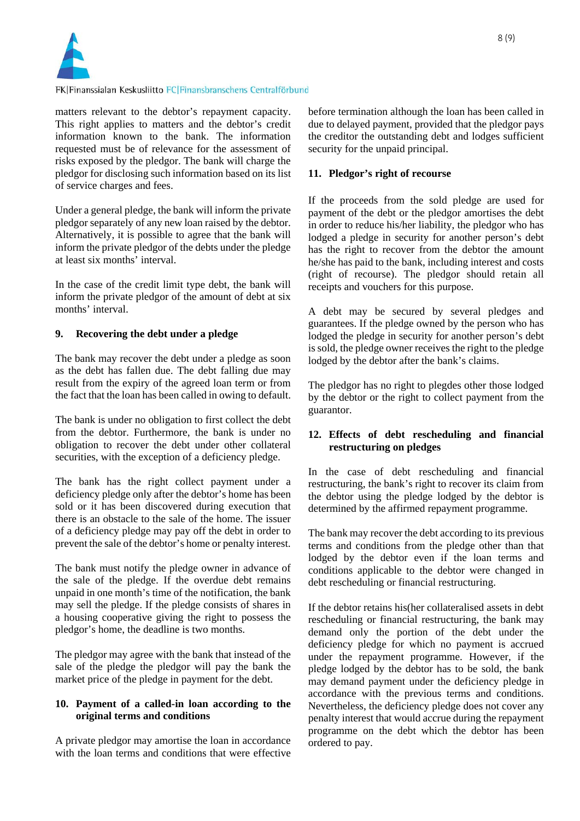

### FK|Finanssialan Keskusliitto FC|Finansbranschens Centralförbund

matters relevant to the debtor's repayment capacity. This right applies to matters and the debtor's credit information known to the bank. The information requested must be of relevance for the assessment of risks exposed by the pledgor. The bank will charge the pledgor for disclosing such information based on its list of service charges and fees.

Under a general pledge, the bank will inform the private pledgor separately of any new loan raised by the debtor. Alternatively, it is possible to agree that the bank will inform the private pledgor of the debts under the pledge at least six months' interval.

In the case of the credit limit type debt, the bank will inform the private pledgor of the amount of debt at six months' interval.

## **9. Recovering the debt under a pledge**

The bank may recover the debt under a pledge as soon as the debt has fallen due. The debt falling due may result from the expiry of the agreed loan term or from the fact that the loan has been called in owing to default.

The bank is under no obligation to first collect the debt from the debtor. Furthermore, the bank is under no obligation to recover the debt under other collateral securities, with the exception of a deficiency pledge.

The bank has the right collect payment under a deficiency pledge only after the debtor's home has been sold or it has been discovered during execution that there is an obstacle to the sale of the home. The issuer of a deficiency pledge may pay off the debt in order to prevent the sale of the debtor's home or penalty interest.

The bank must notify the pledge owner in advance of the sale of the pledge. If the overdue debt remains unpaid in one month's time of the notification, the bank may sell the pledge. If the pledge consists of shares in a housing cooperative giving the right to possess the pledgor's home, the deadline is two months.

The pledgor may agree with the bank that instead of the sale of the pledge the pledgor will pay the bank the market price of the pledge in payment for the debt.

## **10. Payment of a called-in loan according to the original terms and conditions**

A private pledgor may amortise the loan in accordance with the loan terms and conditions that were effective before termination although the loan has been called in due to delayed payment, provided that the pledgor pays the creditor the outstanding debt and lodges sufficient security for the unpaid principal.

## **11. Pledgor's right of recourse**

If the proceeds from the sold pledge are used for payment of the debt or the pledgor amortises the debt in order to reduce his/her liability, the pledgor who has lodged a pledge in security for another person's debt has the right to recover from the debtor the amount he/she has paid to the bank, including interest and costs (right of recourse). The pledgor should retain all receipts and vouchers for this purpose.

A debt may be secured by several pledges and guarantees. If the pledge owned by the person who has lodged the pledge in security for another person's debt is sold, the pledge owner receives the right to the pledge lodged by the debtor after the bank's claims.

The pledgor has no right to plegdes other those lodged by the debtor or the right to collect payment from the guarantor.

# **12. Effects of debt rescheduling and financial restructuring on pledges**

In the case of debt rescheduling and financial restructuring, the bank's right to recover its claim from the debtor using the pledge lodged by the debtor is determined by the affirmed repayment programme.

The bank may recover the debt according to its previous terms and conditions from the pledge other than that lodged by the debtor even if the loan terms and conditions applicable to the debtor were changed in debt rescheduling or financial restructuring.

If the debtor retains his(her collateralised assets in debt rescheduling or financial restructuring, the bank may demand only the portion of the debt under the deficiency pledge for which no payment is accrued under the repayment programme. However, if the pledge lodged by the debtor has to be sold, the bank may demand payment under the deficiency pledge in accordance with the previous terms and conditions. Nevertheless, the deficiency pledge does not cover any penalty interest that would accrue during the repayment programme on the debt which the debtor has been ordered to pay.